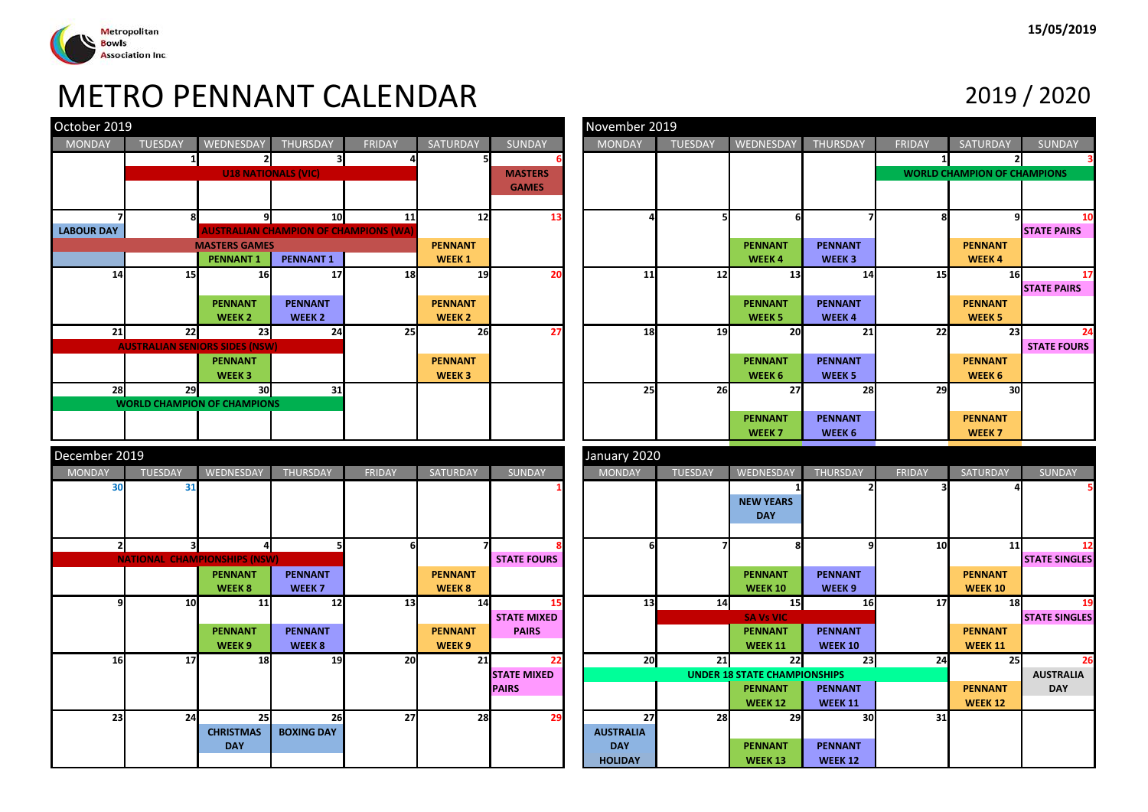

|                                                                                           |                                       |                                     |                                     | <b>METRO PENNANT CALENDAR</b> |                                     |                    |                  |                |                                     |                                     |               |                                    | 2019 / 2020          |
|-------------------------------------------------------------------------------------------|---------------------------------------|-------------------------------------|-------------------------------------|-------------------------------|-------------------------------------|--------------------|------------------|----------------|-------------------------------------|-------------------------------------|---------------|------------------------------------|----------------------|
| October 2019                                                                              |                                       |                                     |                                     |                               |                                     |                    | November 2019    |                |                                     |                                     |               |                                    |                      |
| <b>MONDAY</b>                                                                             | <b>TUESDAY</b>                        | WEDNESDAY                           | <b>THURSDAY</b>                     | <b>FRIDAY</b>                 | <b>SATURDAY</b>                     | <b>SUNDAY</b>      | MONDAY           | <b>TUESDAY</b> | WEDNESDAY                           | <b>THURSDAY</b>                     | <b>FRIDAY</b> | <b>SATURDAY</b>                    | <b>SUNDAY</b>        |
|                                                                                           | $\mathbf{1}$                          |                                     | $\overline{\mathbf{3}}$             |                               | 51                                  |                    |                  |                |                                     |                                     | $\mathbf{1}$  |                                    |                      |
|                                                                                           |                                       | <b>U18 NATIONALS (VIC)</b>          |                                     |                               |                                     | <b>MASTERS</b>     |                  |                |                                     |                                     |               | <b>WORLD CHAMPION OF CHAMPIONS</b> |                      |
|                                                                                           |                                       |                                     |                                     |                               |                                     | <b>GAMES</b>       |                  |                |                                     |                                     |               |                                    |                      |
|                                                                                           |                                       |                                     |                                     |                               |                                     |                    |                  |                |                                     |                                     |               |                                    |                      |
|                                                                                           | 8                                     | 91                                  | 10                                  | 11                            | 12                                  | 13                 |                  | 5              | 6                                   |                                     |               |                                    |                      |
| <b>LABOUR DAY</b><br><b>AUSTRALIAN CHAMPION OF CHAMPIONS (WA)</b><br><b>MASTERS GAMES</b> |                                       |                                     |                                     |                               | <b>PENNANT</b>                      |                    |                  |                | <b>PENNANT</b>                      | <b>PENNANT</b>                      |               | <b>PENNANT</b>                     | <b>STATE PAIRS</b>   |
|                                                                                           |                                       | <b>PENNANT1</b>                     | <b>PENNANT1</b>                     |                               | <b>WEEK1</b>                        |                    |                  |                | WEEK4                               | WEEK <sub>3</sub>                   |               | <b>WEEK4</b>                       |                      |
| 14                                                                                        | 15                                    | 16                                  | 17                                  | 18                            | 19                                  | 20                 | 11               | 12             | 13                                  | 14                                  | 15            | 16                                 |                      |
|                                                                                           |                                       |                                     |                                     |                               |                                     |                    |                  |                |                                     |                                     |               |                                    | <b>STATE PAIRS</b>   |
|                                                                                           |                                       | <b>PENNANT</b>                      | <b>PENNANT</b>                      |                               | <b>PENNANT</b>                      |                    |                  |                | <b>PENNANT</b>                      | <b>PENNANT</b>                      |               | <b>PENNANT</b>                     |                      |
|                                                                                           |                                       | WEEK <sub>2</sub>                   | WEEK <sub>2</sub>                   |                               | <b>WEEK 2</b>                       |                    |                  |                | WEEK <sub>5</sub>                   | WEEK4                               |               | <b>WEEK 5</b>                      |                      |
| 21                                                                                        | 22                                    | 23                                  | 24                                  | 25                            | 26                                  | 27                 | 18               | 19             | 20                                  | 21                                  | 22            | 23                                 |                      |
|                                                                                           | <b>AUSTRALIAN SENIORS SIDES (NSW)</b> |                                     |                                     |                               |                                     |                    |                  |                |                                     |                                     |               |                                    | <b>STATE FOURS</b>   |
|                                                                                           |                                       | <b>PENNANT</b><br>WEEK <sub>3</sub> |                                     |                               | <b>PENNANT</b><br>WEEK <sub>3</sub> |                    |                  |                | <b>PENNANT</b><br>WEEK 6            | <b>PENNANT</b><br>WEEK <sub>5</sub> |               | <b>PENNANT</b><br>WEEK 6           |                      |
| 28                                                                                        | 29                                    | 30                                  | 31                                  |                               |                                     |                    | 25               | 26             | 27                                  | 28                                  | 29            | 30                                 |                      |
|                                                                                           | <b>WORLD CHAMPION OF CHAMPIONS</b>    |                                     |                                     |                               |                                     |                    |                  |                |                                     |                                     |               |                                    |                      |
|                                                                                           |                                       |                                     |                                     |                               |                                     |                    |                  |                | <b>PENNANT</b>                      | <b>PENNANT</b>                      |               | <b>PENNANT</b>                     |                      |
|                                                                                           |                                       |                                     |                                     |                               |                                     |                    |                  |                | WEEK <sub>7</sub>                   | WEEK <sub>6</sub>                   |               | WEEK <sub>7</sub>                  |                      |
| December 2019                                                                             |                                       |                                     |                                     |                               |                                     |                    | January 2020     |                |                                     |                                     |               |                                    |                      |
| <b>MONDAY</b>                                                                             | <b>TUESDAY</b>                        | WEDNESDAY                           | <b>THURSDAY</b>                     | <b>FRIDAY</b>                 | SATURDAY                            | SUNDAY             | <b>MONDAY</b>    | <b>TUESDAY</b> | WEDNESDAY                           | <b>THURSDAY</b>                     | <b>FRIDAY</b> | <b>SATURDAY</b>                    | SUNDAY               |
| 30                                                                                        | 31                                    |                                     |                                     |                               |                                     |                    |                  |                |                                     |                                     |               |                                    |                      |
|                                                                                           |                                       |                                     |                                     |                               |                                     |                    |                  |                | <b>NEW YEARS</b>                    |                                     |               |                                    |                      |
|                                                                                           |                                       |                                     |                                     |                               |                                     |                    |                  |                | <b>DAY</b>                          |                                     |               |                                    |                      |
|                                                                                           |                                       |                                     |                                     |                               |                                     |                    |                  |                |                                     |                                     |               |                                    |                      |
| $\mathbf{2}$                                                                              | $\overline{\mathbf{3}}$               | $\overline{a}$                      | 5                                   |                               | 7                                   |                    |                  |                |                                     | q                                   | 10            | 11                                 |                      |
|                                                                                           | <b>NATIONAL CHAMPIONSHIPS (NSW)</b>   |                                     |                                     |                               |                                     | <b>STATE FOURS</b> |                  |                |                                     |                                     |               |                                    | <b>STATE SINGLES</b> |
|                                                                                           |                                       | <b>PENNANT</b><br>WEEK 8            | <b>PENNANT</b><br>WEEK <sub>7</sub> |                               | <b>PENNANT</b><br>WEEK 8            |                    |                  |                | <b>PENNANT</b><br><b>WEEK 10</b>    | <b>PENNANT</b><br>WEEK <sub>9</sub> |               | <b>PENNANT</b><br><b>WEEK 10</b>   |                      |
| q                                                                                         | 10                                    | 11                                  | 12                                  | 13                            | 14                                  | 15                 | 13               | 14             | 15                                  | 16                                  | 17            | 18                                 |                      |
|                                                                                           |                                       |                                     |                                     |                               |                                     | <b>STATE MIXED</b> |                  |                | <b>SA Vs VIC</b>                    |                                     |               |                                    | <b>STATE SINGLES</b> |
|                                                                                           |                                       | <b>PENNANT</b>                      | <b>PENNANT</b>                      |                               | <b>PENNANT</b>                      | <b>PAIRS</b>       |                  |                | <b>PENNANT</b>                      | <b>PENNANT</b>                      |               | <b>PENNANT</b>                     |                      |
|                                                                                           |                                       | WEEK <sub>9</sub>                   | WEEK 8                              |                               | WEEK <sub>9</sub>                   |                    |                  |                | <b>WEEK 11</b>                      | <b>WEEK 10</b>                      |               | <b>WEEK 11</b>                     |                      |
| 16                                                                                        | 17                                    | 18                                  | <b>19</b>                           | 20                            | 21                                  | 22                 | 20               | 21             | 22                                  | 23                                  | 24            | 25                                 |                      |
|                                                                                           |                                       |                                     |                                     |                               |                                     | <b>STATE MIXED</b> |                  |                | <b>UNDER 18 STATE CHAMPIONSHIPS</b> |                                     |               |                                    | <b>AUSTRALIA</b>     |
|                                                                                           |                                       |                                     |                                     |                               |                                     | <b>PAIRS</b>       |                  |                | <b>PENNANT</b><br><b>WEEK 12</b>    | <b>PENNANT</b><br><b>WEEK 11</b>    |               | <b>PENNANT</b><br><b>WEEK 12</b>   | <b>DAY</b>           |
| 23                                                                                        | 24                                    | 25                                  | 26                                  | 27                            | 28                                  | 29                 | 27               | 28             | 29                                  | 30                                  | 31            |                                    |                      |
|                                                                                           |                                       | <b>CHRISTMAS</b>                    | <b>BOXING DAY</b>                   |                               |                                     |                    | <b>AUSTRALIA</b> |                |                                     |                                     |               |                                    |                      |
|                                                                                           |                                       | <b>DAY</b>                          |                                     |                               |                                     |                    | <b>DAY</b>       |                | <b>PENNANT</b>                      | <b>PENNANT</b>                      |               |                                    |                      |
|                                                                                           |                                       |                                     |                                     |                               |                                     |                    | <b>HOLIDAY</b>   |                | <b>WEEK 13</b>                      | <b>WEEK 12</b>                      |               |                                    |                      |